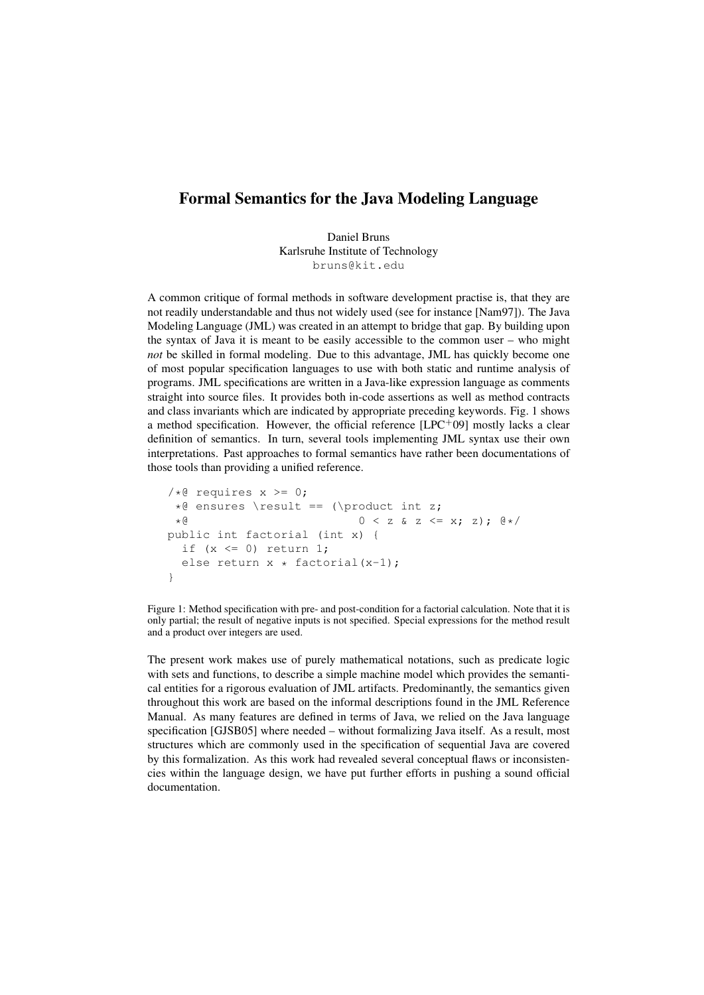## Formal Semantics for the Java Modeling Language

Daniel Bruns Karlsruhe Institute of Technology bruns@kit.edu

A common critique of formal methods in software development practise is, that they are not readily understandable and thus not widely used (see for instance [Nam97]). The Java Modeling Language (JML) was created in an attempt to bridge that gap. By building upon the syntax of Java it is meant to be easily accessible to the common user – who might *not* be skilled in formal modeling. Due to this advantage, JML has quickly become one of most popular specification languages to use with both static and runtime analysis of programs. JML specifications are written in a Java-like expression language as comments straight into source files. It provides both in-code assertions as well as method contracts and class invariants which are indicated by appropriate preceding keywords. Fig. 1 shows a method specification. However, the official reference [LPC<sup>+</sup>09] mostly lacks a clear definition of semantics. In turn, several tools implementing JML syntax use their own interpretations. Past approaches to formal semantics have rather been documentations of those tools than providing a unified reference.

```
/*@ requires x >= 0;
*@ ensures \result == (\product int z;
 *@ 0 < z & z <= x; z); @*/
public int factorial (int x) {
 if (x \le 0) return 1;
 else return x * factorial(x-1);
}
```
Figure 1: Method specification with pre- and post-condition for a factorial calculation. Note that it is only partial; the result of negative inputs is not specified. Special expressions for the method result and a product over integers are used.

The present work makes use of purely mathematical notations, such as predicate logic with sets and functions, to describe a simple machine model which provides the semantical entities for a rigorous evaluation of JML artifacts. Predominantly, the semantics given throughout this work are based on the informal descriptions found in the JML Reference Manual. As many features are defined in terms of Java, we relied on the Java language specification [GJSB05] where needed – without formalizing Java itself. As a result, most structures which are commonly used in the specification of sequential Java are covered by this formalization. As this work had revealed several conceptual flaws or inconsistencies within the language design, we have put further efforts in pushing a sound official documentation.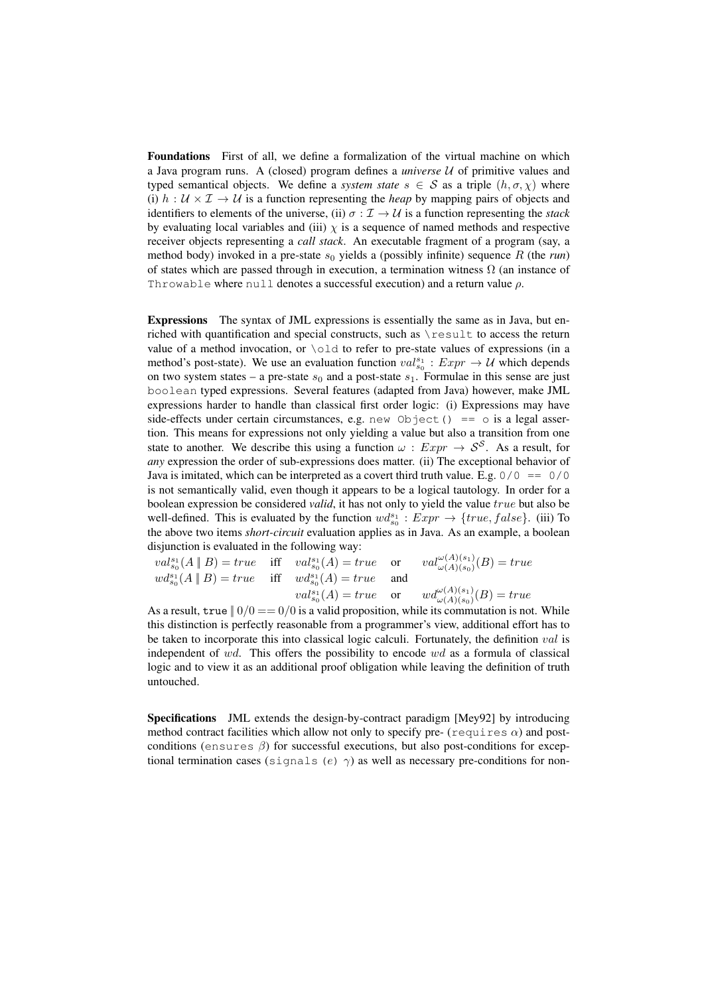Foundations First of all, we define a formalization of the virtual machine on which a Java program runs. A (closed) program defines a *universe* U of primitive values and typed semantical objects. We define a *system state*  $s \in S$  as a triple  $(h, \sigma, \chi)$  where (i)  $h : U \times I \rightarrow U$  is a function representing the *heap* by mapping pairs of objects and identifiers to elements of the universe, (ii)  $\sigma : \mathcal{I} \to \mathcal{U}$  is a function representing the *stack* by evaluating local variables and (iii)  $\chi$  is a sequence of named methods and respective receiver objects representing a *call stack*. An executable fragment of a program (say, a method body) invoked in a pre-state  $s_0$  yields a (possibly infinite) sequence R (the *run*) of states which are passed through in execution, a termination witness  $\Omega$  (an instance of Throwable where null denotes a successful execution) and a return value  $\rho$ .

Expressions The syntax of JML expressions is essentially the same as in Java, but enriched with quantification and special constructs, such as \result to access the return value of a method invocation, or \old to refer to pre-state values of expressions (in a method's post-state). We use an evaluation function  $val_{s_0}^{s_1} : Expr \rightarrow U$  which depends on two system states – a pre-state  $s_0$  and a post-state  $s_1$ . Formulae in this sense are just boolean typed expressions. Several features (adapted from Java) however, make JML expressions harder to handle than classical first order logic: (i) Expressions may have side-effects under certain circumstances, e.g. new Object() ==  $\circ$  is a legal assertion. This means for expressions not only yielding a value but also a transition from one state to another. We describe this using a function  $\omega$  :  $Expr \rightarrow S^S$ . As a result, for *any* expression the order of sub-expressions does matter. (ii) The exceptional behavior of Java is imitated, which can be interpreted as a covert third truth value. E.g.  $0/0 = 0/0$ is not semantically valid, even though it appears to be a logical tautology. In order for a boolean expression be considered *valid*, it has not only to yield the value true but also be well-defined. This is evaluated by the function  $wd_{s_0}^{s_1} : Expr \rightarrow \{true, false\}$ . (iii) To the above two items *short-circuit* evaluation applies as in Java. As an example, a boolean disjunction is evaluated in the following way:

$$
val_{s_0}^{s_1}(A \parallel B) = true \quad \text{iff} \quad val_{s_0}^{s_1}(A) = true \quad \text{or} \quad val_{\omega(A)(s_0)}^{\omega(A)(s_1)}(B) = true
$$
  

$$
wd_{s_0}^{s_1}(A \parallel B) = true \quad \text{iff} \quad w d_{s_0}^{s_1}(A) = true \quad \text{and}
$$
  

$$
val_{s_0}^{s_1}(A) = true \quad \text{or} \quad w d_{\omega(A)(s_0)}^{\omega(A)(s_1)}(B) = true
$$

As a result, true  $||0/0 = 0/0$  is a valid proposition, while its commutation is not. While this distinction is perfectly reasonable from a programmer's view, additional effort has to be taken to incorporate this into classical logic calculi. Fortunately, the definition  $val$  is independent of wd. This offers the possibility to encode  $wd$  as a formula of classical logic and to view it as an additional proof obligation while leaving the definition of truth untouched.

Specifications JML extends the design-by-contract paradigm [Mey92] by introducing method contract facilities which allow not only to specify pre- (requires  $\alpha$ ) and postconditions (ensures  $\beta$ ) for successful executions, but also post-conditions for exceptional termination cases (signals (e)  $\gamma$ ) as well as necessary pre-conditions for non-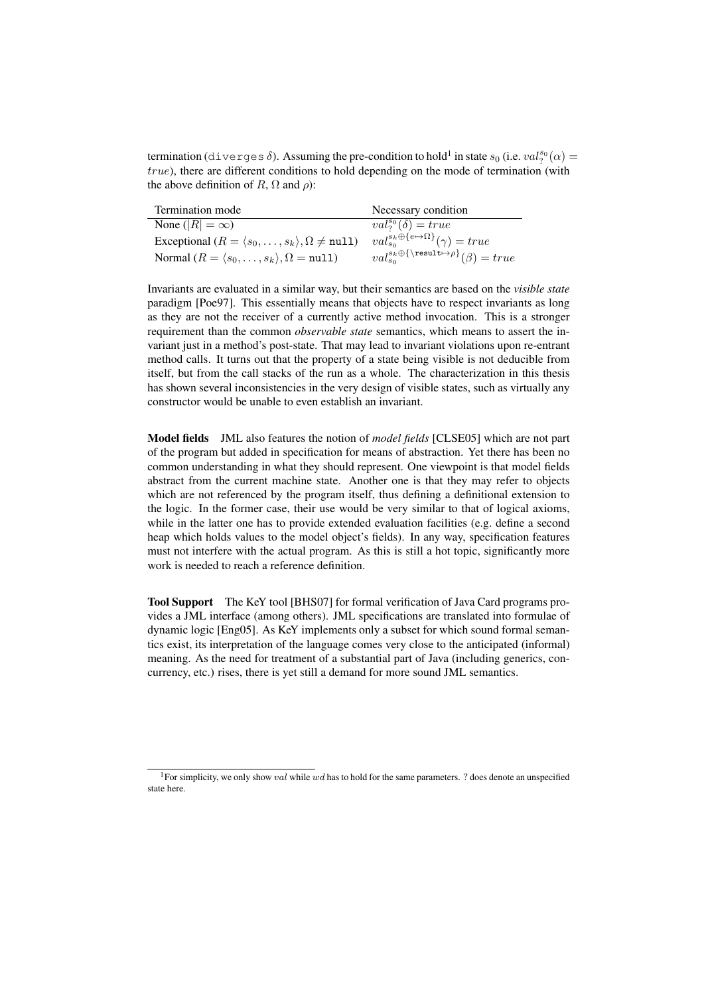termination (diverges  $\delta$ ). Assuming the pre-condition to hold<sup>1</sup> in state  $s_0$  (i.e.  $val_?^{s_0}(\alpha)$  =  $true$ ), there are different conditions to hold depending on the mode of termination (with the above definition of R,  $\Omega$  and  $\rho$ ):

| Termination mode                                                              | Necessary condition                                                |
|-------------------------------------------------------------------------------|--------------------------------------------------------------------|
| None ( $ R  = \infty$ )                                                       | $val_2^{s_0}(\delta) = true$                                       |
| Exceptional $(R = \langle s_0, \ldots, s_k \rangle, \Omega \neq \text{null})$ | $val_{so}^{s_k \oplus \{e \mapsto \Omega\}}(\gamma) = true$        |
| Normal $(R = \langle s_0, \ldots, s_k \rangle, \Omega = \texttt{null}$        | $val_{s_0}^{s_k \oplus {\text{result} \mapsto \rho}(\beta) = true$ |

Invariants are evaluated in a similar way, but their semantics are based on the *visible state* paradigm [Poe97]. This essentially means that objects have to respect invariants as long as they are not the receiver of a currently active method invocation. This is a stronger requirement than the common *observable state* semantics, which means to assert the invariant just in a method's post-state. That may lead to invariant violations upon re-entrant method calls. It turns out that the property of a state being visible is not deducible from itself, but from the call stacks of the run as a whole. The characterization in this thesis has shown several inconsistencies in the very design of visible states, such as virtually any constructor would be unable to even establish an invariant.

Model fields JML also features the notion of *model fields* [CLSE05] which are not part of the program but added in specification for means of abstraction. Yet there has been no common understanding in what they should represent. One viewpoint is that model fields abstract from the current machine state. Another one is that they may refer to objects which are not referenced by the program itself, thus defining a definitional extension to the logic. In the former case, their use would be very similar to that of logical axioms, while in the latter one has to provide extended evaluation facilities (e.g. define a second heap which holds values to the model object's fields). In any way, specification features must not interfere with the actual program. As this is still a hot topic, significantly more work is needed to reach a reference definition.

Tool Support The KeY tool [BHS07] for formal verification of Java Card programs provides a JML interface (among others). JML specifications are translated into formulae of dynamic logic [Eng05]. As KeY implements only a subset for which sound formal semantics exist, its interpretation of the language comes very close to the anticipated (informal) meaning. As the need for treatment of a substantial part of Java (including generics, concurrency, etc.) rises, there is yet still a demand for more sound JML semantics.

<sup>&</sup>lt;sup>1</sup>For simplicity, we only show val while wd has to hold for the same parameters. ? does denote an unspecified state here.